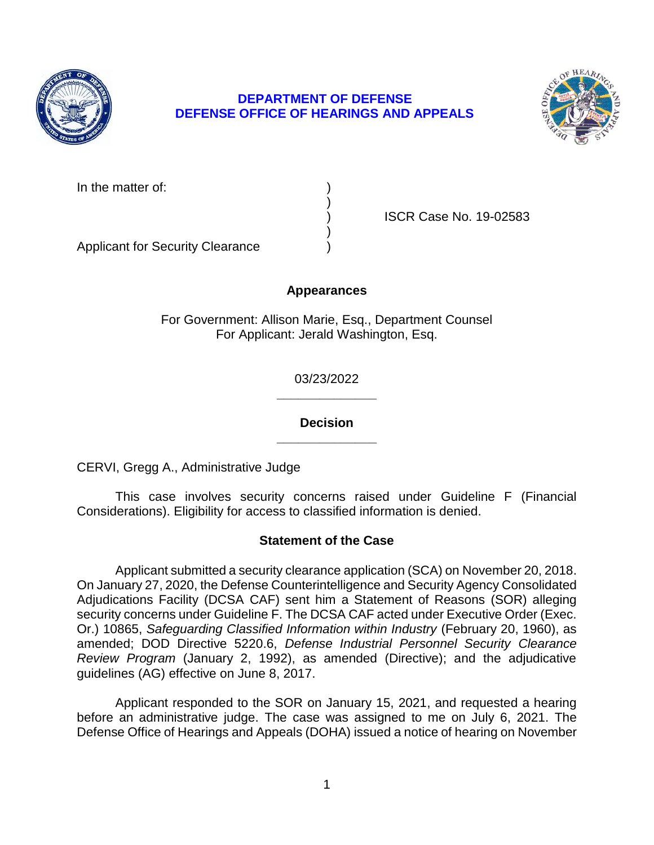

# **DEPARTMENT OF DEFENSE DEFENSE OFFICE OF HEARINGS AND APPEALS**



In the matter of:

) ISCR Case No. 19-02583

Applicant for Security Clearance )

# **Appearances**

)

)

For Government: Allison Marie, Esq., Department Counsel For Applicant: Jerald Washington, Esq.

> **\_\_\_\_\_\_\_\_\_\_\_\_\_\_**  03/23/2022

> **\_\_\_\_\_\_\_\_\_\_\_\_\_\_ Decision**

CERVI, Gregg A., Administrative Judge

 This case involves security concerns raised under Guideline F (Financial Considerations). Eligibility for access to classified information is denied.

# **Statement of the Case**

 Applicant submitted a security clearance application (SCA) on November 20, 2018. On January 27, 2020, the Defense Counterintelligence and Security Agency Consolidated  Or.) 10865, *Safeguarding Classified Information within Industry* (February 20, 1960), as *Review Program* (January 2, 1992), as amended (Directive); and the adjudicative Adjudications Facility (DCSA CAF) sent him a Statement of Reasons (SOR) alleging security concerns under Guideline F. The DCSA CAF acted under Executive Order (Exec. amended; DOD Directive 5220.6, *Defense Industrial Personnel Security Clearance*  guidelines (AG) effective on June 8, 2017.

 Applicant responded to the SOR on January 15, 2021, and requested a hearing before an administrative judge. The case was assigned to me on July 6, 2021. The Defense Office of Hearings and Appeals (DOHA) issued a notice of hearing on November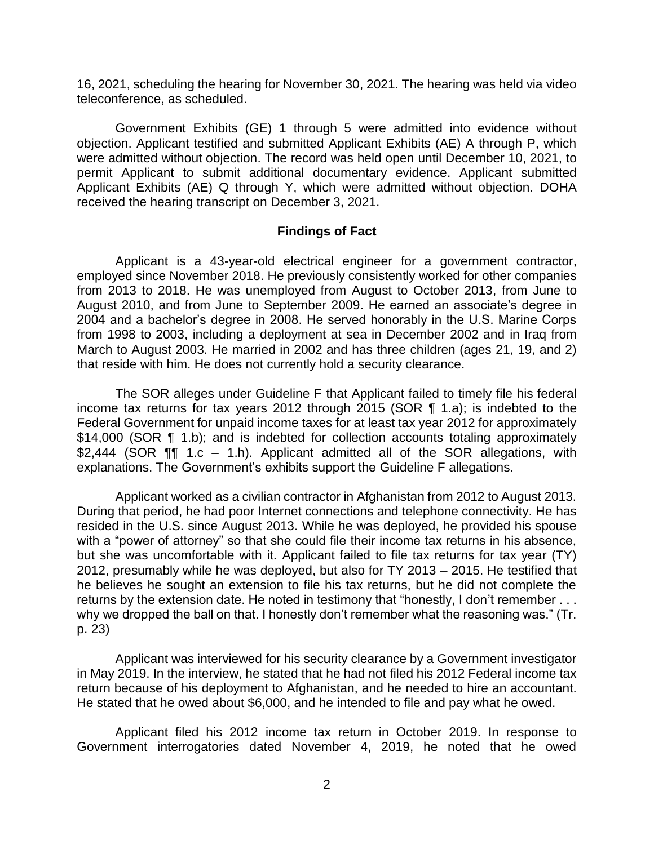16, 2021, scheduling the hearing for November 30, 2021. The hearing was held via video teleconference, as scheduled.

 objection. Applicant testified and submitted Applicant Exhibits (AE) A through P, which Government Exhibits (GE) 1 through 5 were admitted into evidence without were admitted without objection. The record was held open until December 10, 2021, to permit Applicant to submit additional documentary evidence. Applicant submitted Applicant Exhibits (AE) Q through Y, which were admitted without objection. DOHA received the hearing transcript on December 3, 2021.

#### **Findings of Fact**

 from 2013 to 2018. He was unemployed from August to October 2013, from June to August 2010, and from June to September 2009. He earned an associate's degree in 2004 and a bachelor's degree in 2008. He served honorably in the U.S. Marine Corps from 1998 to 2003, including a deployment at sea in December 2002 and in Iraq from March to August 2003. He married in 2002 and has three children (ages 21, 19, and 2) Applicant is a 43-year-old electrical engineer for a government contractor, employed since November 2018. He previously consistently worked for other companies that reside with him. He does not currently hold a security clearance.

 The SOR alleges under Guideline F that Applicant failed to timely file his federal income tax returns for tax years 2012 through 2015 (SOR ¶ 1.a); is indebted to the Federal Government for unpaid income taxes for at least tax year 2012 for approximately \$14,000 (SOR ¶ 1.b); and is indebted for collection accounts totaling approximately \$2,444 (SOR **¶** 1.c – 1.h). Applicant admitted all of the SOR allegations, with explanations. The Government's exhibits support the Guideline F allegations.

 Applicant worked as a civilian contractor in Afghanistan from 2012 to August 2013. resided in the U.S. since August 2013. While he was deployed, he provided his spouse with a "power of attorney" so that she could file their income tax returns in his absence, but she was uncomfortable with it. Applicant failed to file tax returns for tax year (TY) 2012, presumably while he was deployed, but also for TY 2013 – 2015. He testified that he believes he sought an extension to file his tax returns, but he did not complete the returns by the extension date. He noted in testimony that "honestly, I don't remember . . . why we dropped the ball on that. I honestly don't remember what the reasoning was." (Tr. During that period, he had poor Internet connections and telephone connectivity. He has p. 23)

 Applicant was interviewed for his security clearance by a Government investigator in May 2019. In the interview, he stated that he had not filed his 2012 Federal income tax return because of his deployment to Afghanistan, and he needed to hire an accountant. He stated that he owed about \$6,000, and he intended to file and pay what he owed.

 Applicant filed his 2012 income tax return in October 2019. In response to Government interrogatories dated November 4, 2019, he noted that he owed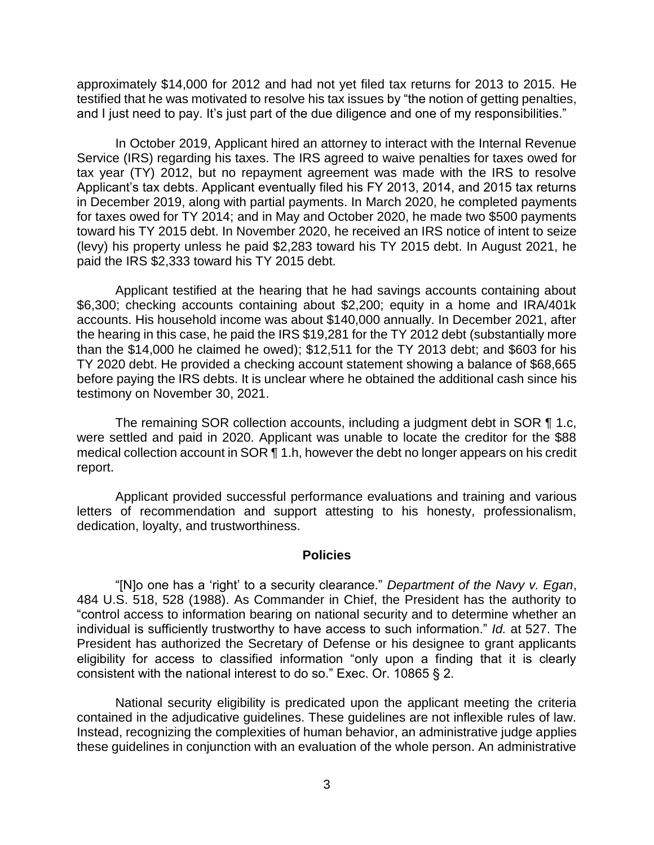approximately \$14,000 for 2012 and had not yet filed tax returns for 2013 to 2015. He testified that he was motivated to resolve his tax issues by "the notion of getting penalties, and I just need to pay. It's just part of the due diligence and one of my responsibilities."

 In October 2019, Applicant hired an attorney to interact with the Internal Revenue Service (IRS) regarding his taxes. The IRS agreed to waive penalties for taxes owed for tax year (TY) 2012, but no repayment agreement was made with the IRS to resolve Applicant's tax debts. Applicant eventually filed his FY 2013, 2014, and 2015 tax returns for taxes owed for TY 2014; and in May and October 2020, he made two \$500 payments toward his TY 2015 debt. In November 2020, he received an IRS notice of intent to seize (levy) his property unless he paid \$2,283 toward his TY 2015 debt. In August 2021, he in December 2019, along with partial payments. In March 2020, he completed payments paid the IRS \$2,333 toward his TY 2015 debt.

 Applicant testified at the hearing that he had savings accounts containing about \$6,300; checking accounts containing about \$2,200; equity in a home and IRA/401k the hearing in this case, he paid the IRS \$19,281 for the TY 2012 debt (substantially more than the \$14,000 he claimed he owed); \$12,511 for the TY 2013 debt; and \$603 for his before paying the IRS debts. It is unclear where he obtained the additional cash since his accounts. His household income was about \$140,000 annually. In December 2021, after TY 2020 debt. He provided a checking account statement showing a balance of \$68,665 testimony on November 30, 2021.

 The remaining SOR collection accounts, including a judgment debt in SOR ¶ 1.c, were settled and paid in 2020. Applicant was unable to locate the creditor for the \$88 medical collection account in SOR ¶ 1.h, however the debt no longer appears on his credit report.

 Applicant provided successful performance evaluations and training and various letters of recommendation and support attesting to his honesty, professionalism, dedication, loyalty, and trustworthiness.

#### **Policies**

 "[N]o one has a 'right' to a security clearance." *Department of the Navy v. Egan*, 484 U.S. 518, 528 (1988). As Commander in Chief, the President has the authority to "control access to information bearing on national security and to determine whether an individual is sufficiently trustworthy to have access to such information." *Id.* at 527. The President has authorized the Secretary of Defense or his designee to grant applicants eligibility for access to classified information "only upon a finding that it is clearly consistent with the national interest to do so." Exec. Or. 10865 § 2.

 National security eligibility is predicated upon the applicant meeting the criteria contained in the adjudicative guidelines. These guidelines are not inflexible rules of law. Instead, recognizing the complexities of human behavior, an administrative judge applies these guidelines in conjunction with an evaluation of the whole person. An administrative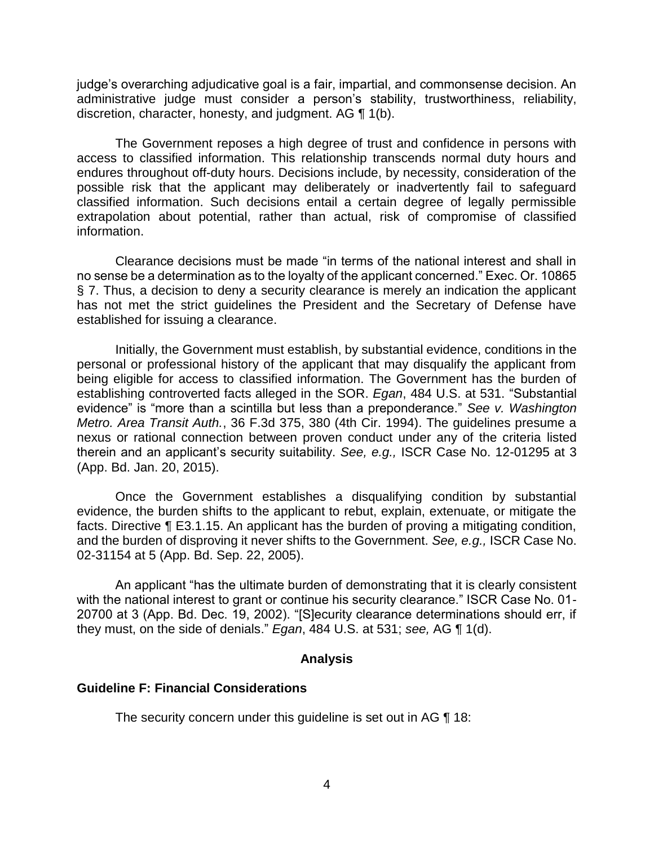administrative judge must consider a person's stability, trustworthiness, reliability, discretion, character, honesty, and judgment. AG ¶ 1(b). judge's overarching adjudicative goal is a fair, impartial, and commonsense decision. An

 The Government reposes a high degree of trust and confidence in persons with access to classified information. This relationship transcends normal duty hours and endures throughout off-duty hours. Decisions include, by necessity, consideration of the possible risk that the applicant may deliberately or inadvertently fail to safeguard classified information. Such decisions entail a certain degree of legally permissible extrapolation about potential, rather than actual, risk of compromise of classified information.

 Clearance decisions must be made "in terms of the national interest and shall in no sense be a determination as to the loyalty of the applicant concerned." Exec. Or. 10865 § 7. Thus, a decision to deny a security clearance is merely an indication the applicant has not met the strict guidelines the President and the Secretary of Defense have established for issuing a clearance.

 Initially, the Government must establish, by substantial evidence, conditions in the personal or professional history of the applicant that may disqualify the applicant from being eligible for access to classified information. The Government has the burden of establishing controverted facts alleged in the SOR. *Egan*, 484 U.S. at 531. "Substantial evidence" is "more than a scintilla but less than a preponderance." *See v. Washington Metro. Area Transit Auth.*, 36 F.3d 375, 380 (4th Cir. 1994). The guidelines presume a nexus or rational connection between proven conduct under any of the criteria listed therein and an applicant's security suitability. *See, e.g.,* ISCR Case No. 12-01295 at 3 (App. Bd. Jan. 20, 2015).

 Once the Government establishes a disqualifying condition by substantial evidence, the burden shifts to the applicant to rebut, explain, extenuate, or mitigate the facts. Directive ¶ E3.1.15. An applicant has the burden of proving a mitigating condition, and the burden of disproving it never shifts to the Government. *See, e.g.,* ISCR Case No. 02-31154 at 5 (App. Bd. Sep. 22, 2005).

An applicant "has the ultimate burden of demonstrating that it is clearly consistent with the national interest to grant or continue his security clearance." ISCR Case No. 01- 20700 at 3 (App. Bd. Dec. 19, 2002). "[S]ecurity clearance determinations should err, if they must, on the side of denials." *Egan*, 484 U.S. at 531; *see,* AG ¶ 1(d).

### **Analysis**

### **Guideline F: Financial Considerations**

The security concern under this guideline is set out in AG ¶ 18: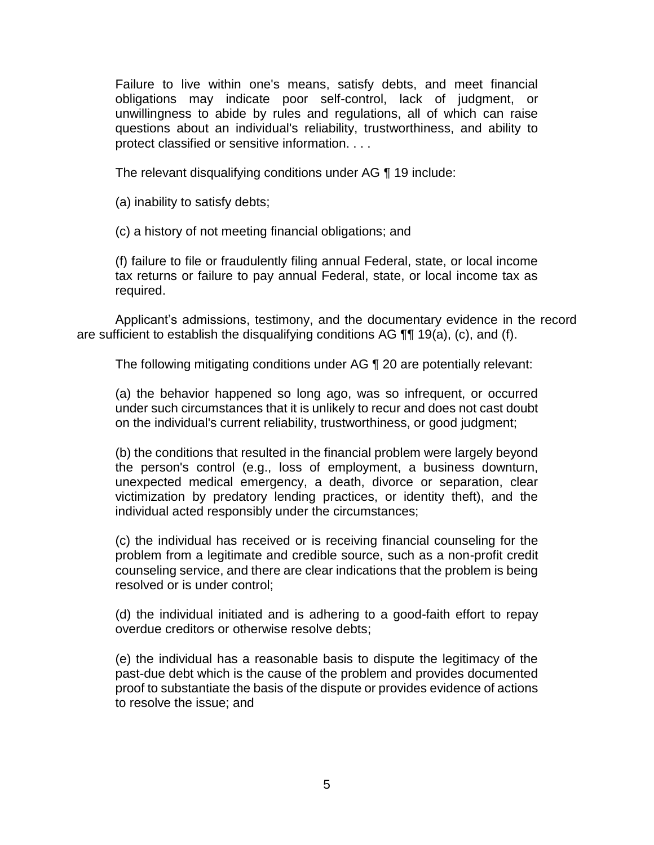Failure to live within one's means, satisfy debts, and meet financial obligations may indicate poor self-control, lack of judgment, or unwillingness to abide by rules and regulations, all of which can raise questions about an individual's reliability, trustworthiness, and ability to protect classified or sensitive information. . . .

The relevant disqualifying conditions under AG ¶ 19 include:

(a) inability to satisfy debts;

(c) a history of not meeting financial obligations; and

(f) failure to file or fraudulently filing annual Federal, state, or local income tax returns or failure to pay annual Federal, state, or local income tax as required.

 Applicant's admissions, testimony, and the documentary evidence in the record are sufficient to establish the disqualifying conditions AG ¶¶ 19(a), (c), and (f).

The following mitigating conditions under AG ¶ 20 are potentially relevant:

(a) the behavior happened so long ago, was so infrequent, or occurred under such circumstances that it is unlikely to recur and does not cast doubt on the individual's current reliability, trustworthiness, or good judgment;

(b) the conditions that resulted in the financial problem were largely beyond the person's control (e.g., loss of employment, a business downturn, unexpected medical emergency, a death, divorce or separation, clear victimization by predatory lending practices, or identity theft), and the individual acted responsibly under the circumstances;

(c) the individual has received or is receiving financial counseling for the problem from a legitimate and credible source, such as a non-profit credit counseling service, and there are clear indications that the problem is being resolved or is under control;

(d) the individual initiated and is adhering to a good-faith effort to repay overdue creditors or otherwise resolve debts;

(e) the individual has a reasonable basis to dispute the legitimacy of the past-due debt which is the cause of the problem and provides documented proof to substantiate the basis of the dispute or provides evidence of actions to resolve the issue; and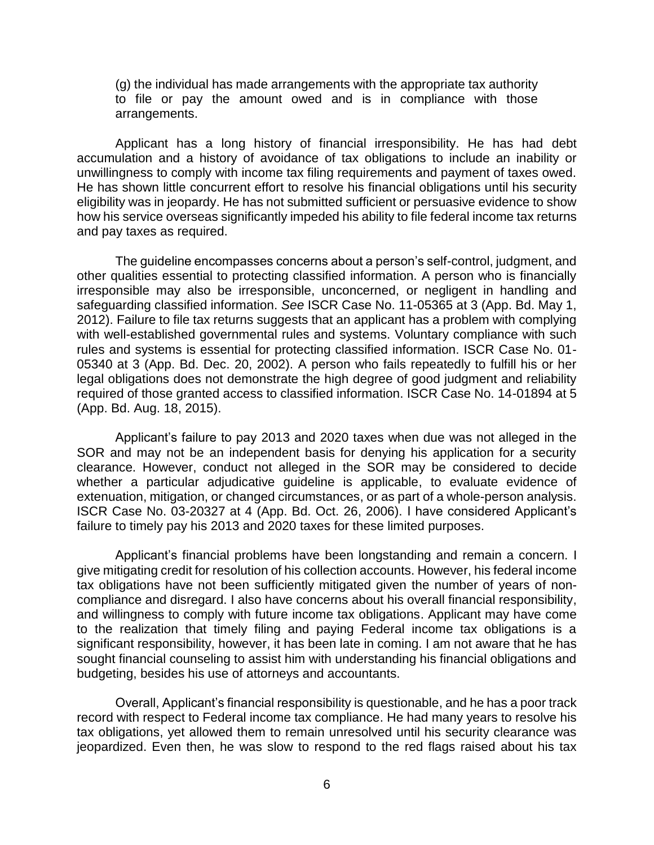(g) the individual has made arrangements with the appropriate tax authority to file or pay the amount owed and is in compliance with those arrangements.

 Applicant has a long history of financial irresponsibility. He has had debt accumulation and a history of avoidance of tax obligations to include an inability or unwillingness to comply with income tax filing requirements and payment of taxes owed. eligibility was in jeopardy. He has not submitted sufficient or persuasive evidence to show how his service overseas significantly impeded his ability to file federal income tax returns He has shown little concurrent effort to resolve his financial obligations until his security and pay taxes as required.

The guideline encompasses concerns about a person's self-control, judgment, and other qualities essential to protecting classified information. A person who is financially irresponsible may also be irresponsible, unconcerned, or negligent in handling and safeguarding classified information. *See* ISCR Case No. 11-05365 at 3 (App. Bd. May 1, 2012). Failure to file tax returns suggests that an applicant has a problem with complying with well-established governmental rules and systems. Voluntary compliance with such rules and systems is essential for protecting classified information. ISCR Case No. 01- 05340 at 3 (App. Bd. Dec. 20, 2002). A person who fails repeatedly to fulfill his or her legal obligations does not demonstrate the high degree of good judgment and reliability required of those granted access to classified information. ISCR Case No. 14-01894 at 5 (App. Bd. Aug. 18, 2015).

 Applicant's failure to pay 2013 and 2020 taxes when due was not alleged in the SOR and may not be an independent basis for denying his application for a security clearance. However, conduct not alleged in the SOR may be considered to decide whether a particular adjudicative guideline is applicable, to evaluate evidence of extenuation, mitigation, or changed circumstances, or as part of a whole-person analysis. ISCR Case No. 03-20327 at 4 (App. Bd. Oct. 26, 2006). I have considered Applicant's failure to timely pay his 2013 and 2020 taxes for these limited purposes.

 Applicant's financial problems have been longstanding and remain a concern. I give mitigating credit for resolution of his collection accounts. However, his federal income tax obligations have not been sufficiently mitigated given the number of years of non- and willingness to comply with future income tax obligations. Applicant may have come to the realization that timely filing and paying Federal income tax obligations is a significant responsibility, however, it has been late in coming. I am not aware that he has compliance and disregard. I also have concerns about his overall financial responsibility, sought financial counseling to assist him with understanding his financial obligations and budgeting, besides his use of attorneys and accountants.

 Overall, Applicant's financial responsibility is questionable, and he has a poor track record with respect to Federal income tax compliance. He had many years to resolve his tax obligations, yet allowed them to remain unresolved until his security clearance was jeopardized. Even then, he was slow to respond to the red flags raised about his tax